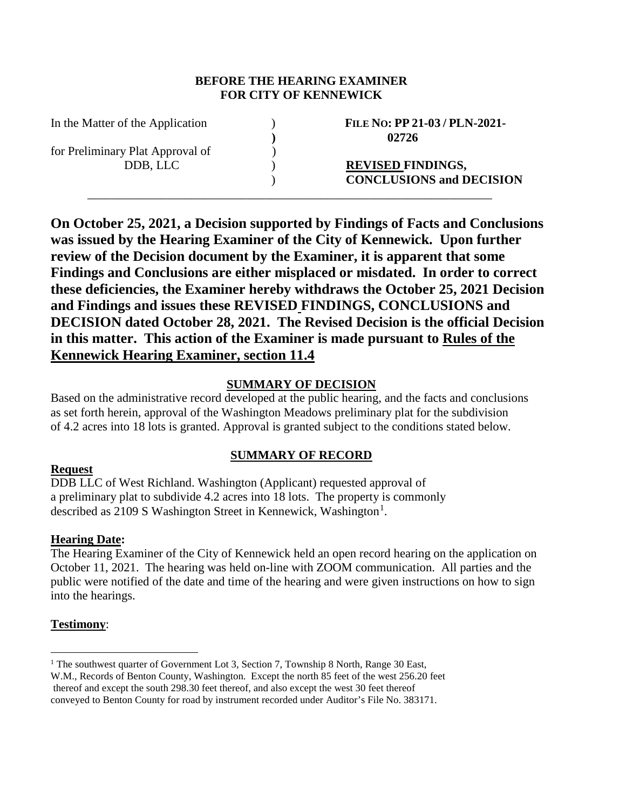#### **BEFORE THE HEARING EXAMINER FOR CITY OF KENNEWICK**

for Preliminary Plat Approval of  $\qquad \qquad$  )

In the Matter of the Application ) **FILE NO: PP 21-03 / PLN-2021- ) 02726**

> DDB, LLC ) **REVISED FINDINGS,** ) **CONCLUSIONS and DECISION**

**On October 25, 2021, a Decision supported by Findings of Facts and Conclusions was issued by the Hearing Examiner of the City of Kennewick. Upon further review of the Decision document by the Examiner, it is apparent that some Findings and Conclusions are either misplaced or misdated. In order to correct these deficiencies, the Examiner hereby withdraws the October 25, 2021 Decision and Findings and issues these REVISED FINDINGS, CONCLUSIONS and DECISION dated October 28, 2021. The Revised Decision is the official Decision in this matter. This action of the Examiner is made pursuant to Rules of the Kennewick Hearing Examiner, section 11.4**

\_\_\_\_\_\_\_\_\_\_\_\_\_\_\_\_\_\_\_\_\_\_\_\_\_\_\_\_\_\_\_\_\_\_\_\_\_\_\_\_\_\_\_\_\_\_\_\_\_\_\_\_\_\_\_\_\_\_\_\_\_\_\_\_\_\_

## **SUMMARY OF DECISION**

Based on the administrative record developed at the public hearing, and the facts and conclusions as set forth herein, approval of the Washington Meadows preliminary plat for the subdivision of 4.2 acres into 18 lots is granted. Approval is granted subject to the conditions stated below.

# **SUMMARY OF RECORD**

# **Request**

DDB LLC of West Richland. Washington (Applicant) requested approval of a preliminary plat to subdivide 4.2 acres into 18 lots. The property is commonly described as 2[1](#page-0-0)09 S Washington Street in Kennewick, Washington<sup>1</sup>.

## **Hearing Date:**

The Hearing Examiner of the City of Kennewick held an open record hearing on the application on October 11, 2021. The hearing was held on-line with ZOOM communication. All parties and the public were notified of the date and time of the hearing and were given instructions on how to sign into the hearings.

# **Testimony**:

<span id="page-0-0"></span><sup>&</sup>lt;sup>1</sup> The southwest quarter of Government Lot 3, Section 7, Township 8 North, Range 30 East, W.M., Records of Benton County, Washington. Except the north 85 feet of the west 256.20 feet

thereof and except the south 298.30 feet thereof, and also except the west 30 feet thereof conveyed to Benton County for road by instrument recorded under Auditor's File No. 383171.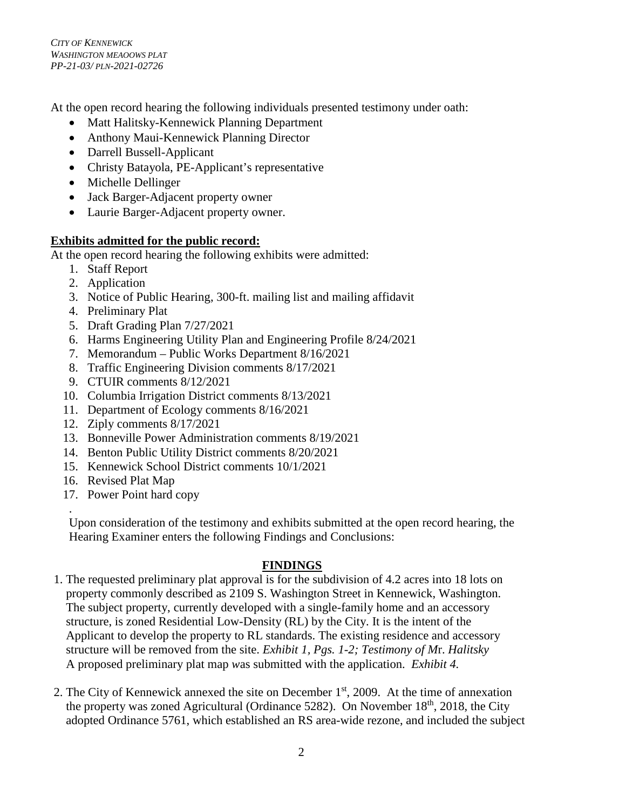*CITY OF KENNEWICK WASHINGTON MEAOOWS PLAT PP-21-03/ PLN-2021-02726*

At the open record hearing the following individuals presented testimony under oath:

- Matt Halitsky-Kennewick Planning Department
- Anthony Maui-Kennewick Planning Director
- Darrell Bussell-Applicant
- Christy Batayola, PE-Applicant's representative
- Michelle Dellinger
- Jack Barger-Adjacent property owner
- Laurie Barger-Adjacent property owner.

## **Exhibits admitted for the public record:**

At the open record hearing the following exhibits were admitted:

- 1. Staff Report
- 2. Application
- 3. Notice of Public Hearing, 300-ft. mailing list and mailing affidavit
- 4. Preliminary Plat
- 5. Draft Grading Plan 7/27/2021
- 6. Harms Engineering Utility Plan and Engineering Profile 8/24/2021
- 7. Memorandum Public Works Department 8/16/2021
- 8. Traffic Engineering Division comments 8/17/2021
- 9. CTUIR comments 8/12/2021
- 10. Columbia Irrigation District comments 8/13/2021
- 11. Department of Ecology comments 8/16/2021
- 12. Ziply comments 8/17/2021
- 13. Bonneville Power Administration comments 8/19/2021
- 14. Benton Public Utility District comments 8/20/2021
- 15. Kennewick School District comments 10/1/2021
- 16. Revised Plat Map

.

17. Power Point hard copy

Upon consideration of the testimony and exhibits submitted at the open record hearing, the Hearing Examiner enters the following Findings and Conclusions:

## **FINDINGS**

- 1. The requested preliminary plat approval is for the subdivision of 4.2 acres into 18 lots on property commonly described as 2109 S. Washington Street in Kennewick, Washington. The subject property, currently developed with a single-family home and an accessory structure, is zoned Residential Low-Density (RL) by the City. It is the intent of the Applicant to develop the property to RL standards. The existing residence and accessory structure will be removed from the site. *Exhibit 1, Pgs. 1-2; Testimony of M*r. *Halitsky* A proposed preliminary plat map *w*as submitted with the application. *Exhibit 4.*
- 2. The City of Kennewick annexed the site on December  $1<sup>st</sup>$ , 2009. At the time of annexation the property was zoned Agricultural (Ordinance 5282). On November  $18<sup>th</sup>$ , 2018, the City adopted Ordinance 5761, which established an RS area-wide rezone, and included the subject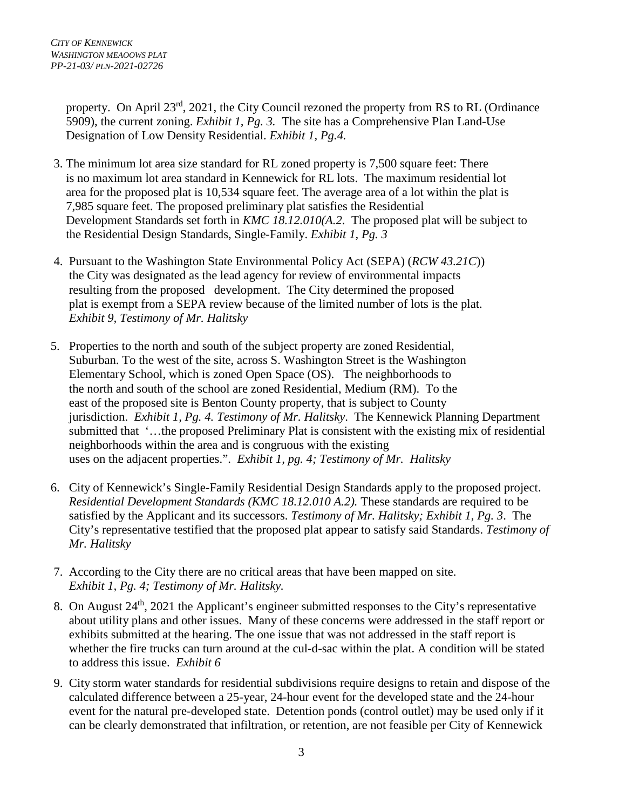property. On April  $23^{rd}$ ,  $2021$ , the City Council rezoned the property from RS to RL (Ordinance 5909), the current zoning. *Exhibit 1, Pg. 3.* The site has a Comprehensive Plan Land-Use Designation of Low Density Residential. *Exhibit 1, Pg.4.* 

- 3. The minimum lot area size standard for RL zoned property is 7,500 square feet: There is no maximum lot area standard in Kennewick for RL lots. The maximum residential lot area for the proposed plat is 10,534 square feet. The average area of a lot within the plat is 7,985 square feet. The proposed preliminary plat satisfies the Residential Development Standards set forth in *KMC 18.12.010(A.2*. The proposed plat will be subject to the Residential Design Standards, Single-Family. *Exhibit 1, Pg. 3*
- 4. Pursuant to the Washington State Environmental Policy Act (SEPA) (*RCW 43.21C*)) the City was designated as the lead agency for review of environmental impacts resulting from the proposed development. The City determined the proposed plat is exempt from a SEPA review because of the limited number of lots is the plat. *Exhibit 9, Testimony of Mr. Halitsky*
- 5. Properties to the north and south of the subject property are zoned Residential, Suburban. To the west of the site, across S. Washington Street is the Washington Elementary School, which is zoned Open Space (OS). The neighborhoods to the north and south of the school are zoned Residential, Medium (RM). To the east of the proposed site is Benton County property, that is subject to County jurisdiction. *Exhibit 1, Pg. 4. Testimony of Mr. Halitsky*. The Kennewick Planning Department submitted that '…the proposed Preliminary Plat is consistent with the existing mix of residential neighborhoods within the area and is congruous with the existing uses on the adjacent properties.". *Exhibit 1, pg. 4; Testimony of Mr. Halitsky*
- 6. City of Kennewick's Single-Family Residential Design Standards apply to the proposed project. *Residential Development Standards (KMC 18.12.010 A.2).* These standards are required to be satisfied by the Applicant and its successors. *Testimony of Mr. Halitsky; Exhibit 1, Pg. 3*. The City's representative testified that the proposed plat appear to satisfy said Standards. *Testimony of Mr. Halitsky*
- 7. According to the City there are no critical areas that have been mapped on site. *Exhibit 1, Pg. 4; Testimony of Mr. Halitsky.*
- 8. On August 24<sup>th</sup>, 2021 the Applicant's engineer submitted responses to the City's representative about utility plans and other issues. Many of these concerns were addressed in the staff report or exhibits submitted at the hearing. The one issue that was not addressed in the staff report is whether the fire trucks can turn around at the cul-d-sac within the plat. A condition will be stated to address this issue. *Exhibit 6*
- 9. City storm water standards for residential subdivisions require designs to retain and dispose of the calculated difference between a 25-year, 24-hour event for the developed state and the 24-hour event for the natural pre-developed state. Detention ponds (control outlet) may be used only if it can be clearly demonstrated that infiltration, or retention, are not feasible per City of Kennewick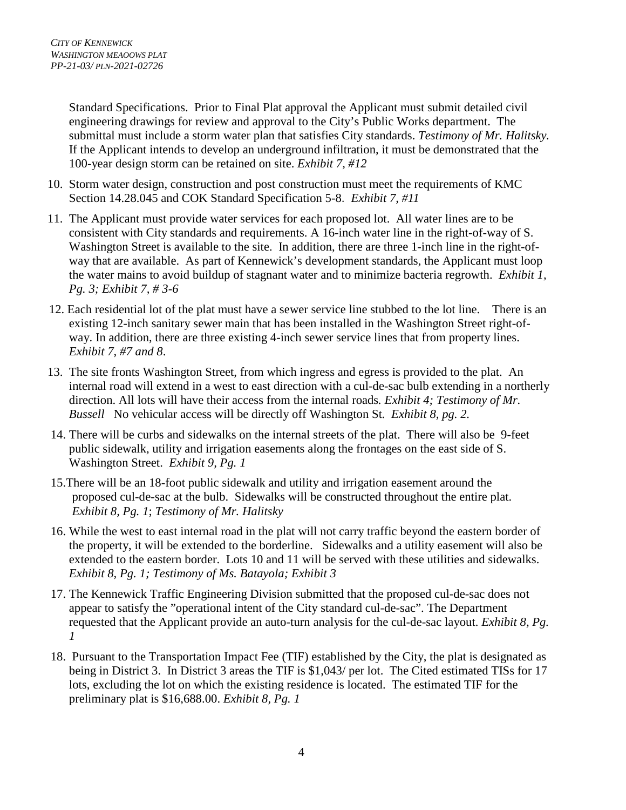Standard Specifications. Prior to Final Plat approval the Applicant must submit detailed civil engineering drawings for review and approval to the City's Public Works department. The submittal must include a storm water plan that satisfies City standards. *Testimony of Mr. Halitsky.*  If the Applicant intends to develop an underground infiltration, it must be demonstrated that the 100-year design storm can be retained on site. *Exhibit 7, #12*

- 10. Storm water design, construction and post construction must meet the requirements of KMC Section 14.28.045 and COK Standard Specification 5-8. *Exhibit 7, #11*
- 11. The Applicant must provide water services for each proposed lot. All water lines are to be consistent with City standards and requirements. A 16-inch water line in the right-of-way of S. Washington Street is available to the site. In addition, there are three 1-inch line in the right-ofway that are available. As part of Kennewick's development standards, the Applicant must loop the water mains to avoid buildup of stagnant water and to minimize bacteria regrowth. *Exhibit 1, Pg. 3; Exhibit 7, # 3-6*
- 12. Each residential lot of the plat must have a sewer service line stubbed to the lot line. There is an existing 12-inch sanitary sewer main that has been installed in the Washington Street right-ofway. In addition, there are three existing 4-inch sewer service lines that from property lines. *Exhibit 7, #7 and 8*.
- 13. The site fronts Washington Street, from which ingress and egress is provided to the plat. An internal road will extend in a west to east direction with a cul-de-sac bulb extending in a northerly direction. All lots will have their access from the internal roads*. Exhibit 4; Testimony of Mr. Bussell* No vehicular access will be directly off Washington St*. Exhibit 8, pg. 2.*
- 14. There will be curbs and sidewalks on the internal streets of the plat. There will also be 9-feet public sidewalk, utility and irrigation easements along the frontages on the east side of S. Washington Street. *Exhibit 9, Pg. 1*
- 15.There will be an 18-foot public sidewalk and utility and irrigation easement around the proposed cul-de-sac at the bulb. Sidewalks will be constructed throughout the entire plat. *Exhibit 8, Pg. 1*; *Testimony of Mr. Halitsky*
- 16. While the west to east internal road in the plat will not carry traffic beyond the eastern border of the property, it will be extended to the borderline. Sidewalks and a utility easement will also be extended to the eastern border. Lots 10 and 11 will be served with these utilities and sidewalks. *Exhibit 8, Pg. 1; Testimony of Ms. Batayola; Exhibit 3*
- 17. The Kennewick Traffic Engineering Division submitted that the proposed cul-de-sac does not appear to satisfy the "operational intent of the City standard cul-de-sac". The Department requested that the Applicant provide an auto-turn analysis for the cul-de-sac layout. *Exhibit 8, Pg. 1*
- 18. Pursuant to the Transportation Impact Fee (TIF) established by the City, the plat is designated as being in District 3. In District 3 areas the TIF is \$1,043/ per lot. The Cited estimated TISs for 17 lots, excluding the lot on which the existing residence is located. The estimated TIF for the preliminary plat is \$16,688.00. *Exhibit 8, Pg. 1*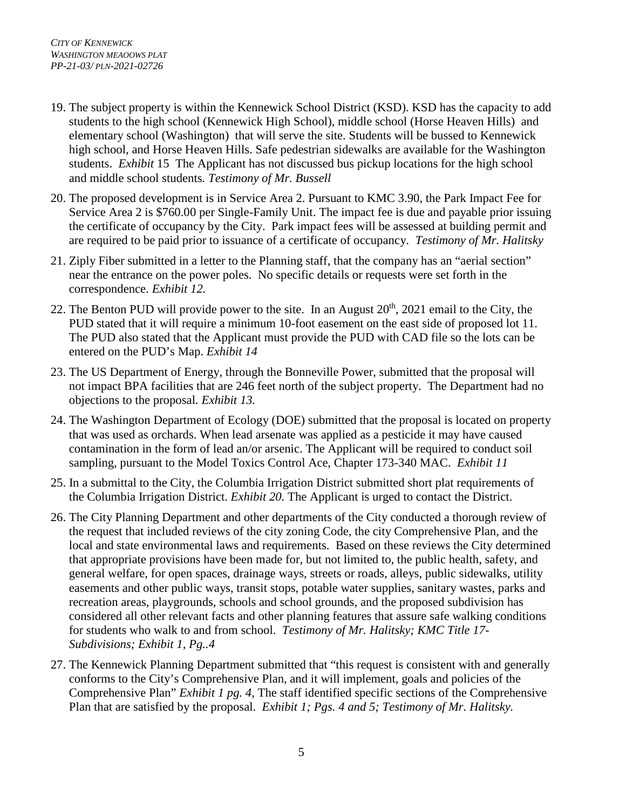- 19. The subject property is within the Kennewick School District (KSD). KSD has the capacity to add students to the high school (Kennewick High School), middle school (Horse Heaven Hills) and elementary school (Washington) that will serve the site. Students will be bussed to Kennewick high school, and Horse Heaven Hills. Safe pedestrian sidewalks are available for the Washington students. *Exhibit* 15 The Applicant has not discussed bus pickup locations for the high school and middle school students*. Testimony of Mr. Bussell*
- 20. The proposed development is in Service Area 2. Pursuant to KMC 3.90, the Park Impact Fee for Service Area 2 is \$760.00 per Single-Family Unit. The impact fee is due and payable prior issuing the certificate of occupancy by the City. Park impact fees will be assessed at building permit and are required to be paid prior to issuance of a certificate of occupancy. *Testimony of Mr. Halitsky*
- 21. Ziply Fiber submitted in a letter to the Planning staff, that the company has an "aerial section" near the entrance on the power poles. No specific details or requests were set forth in the correspondence. *Exhibit 12.*
- 22. The Benton PUD will provide power to the site. In an August  $20<sup>th</sup>$ ,  $2021$  email to the City, the PUD stated that it will require a minimum 10-foot easement on the east side of proposed lot 11. The PUD also stated that the Applicant must provide the PUD with CAD file so the lots can be entered on the PUD's Map. *Exhibit 14*
- 23. The US Department of Energy, through the Bonneville Power, submitted that the proposal will not impact BPA facilities that are 246 feet north of the subject property. The Department had no objections to the proposal*. Exhibit 13.*
- 24. The Washington Department of Ecology (DOE) submitted that the proposal is located on property that was used as orchards. When lead arsenate was applied as a pesticide it may have caused contamination in the form of lead an/or arsenic. The Applicant will be required to conduct soil sampling, pursuant to the Model Toxics Control Ace, Chapter 173-340 MAC. *Exhibit 11*
- 25. In a submittal to the City, the Columbia Irrigation District submitted short plat requirements of the Columbia Irrigation District. *Exhibit 20.* The Applicant is urged to contact the District.
- 26. The City Planning Department and other departments of the City conducted a thorough review of the request that included reviews of the city zoning Code, the city Comprehensive Plan, and the local and state environmental laws and requirements. Based on these reviews the City determined that appropriate provisions have been made for, but not limited to, the public health, safety, and general welfare, for open spaces, drainage ways, streets or roads, alleys, public sidewalks, utility easements and other public ways, transit stops, potable water supplies, sanitary wastes, parks and recreation areas, playgrounds, schools and school grounds, and the proposed subdivision has considered all other relevant facts and other planning features that assure safe walking conditions for students who walk to and from school. *Testimony of Mr. Halitsky; KMC Title 17- Subdivisions; Exhibit 1, Pg..4*
- 27. The Kennewick Planning Department submitted that "this request is consistent with and generally conforms to the City's Comprehensive Plan, and it will implement, goals and policies of the Comprehensive Plan" *Exhibit 1 pg. 4*, The staff identified specific sections of the Comprehensive Plan that are satisfied by the proposal. *Exhibit 1; Pgs. 4 and 5; Testimony of Mr. Halitsky.*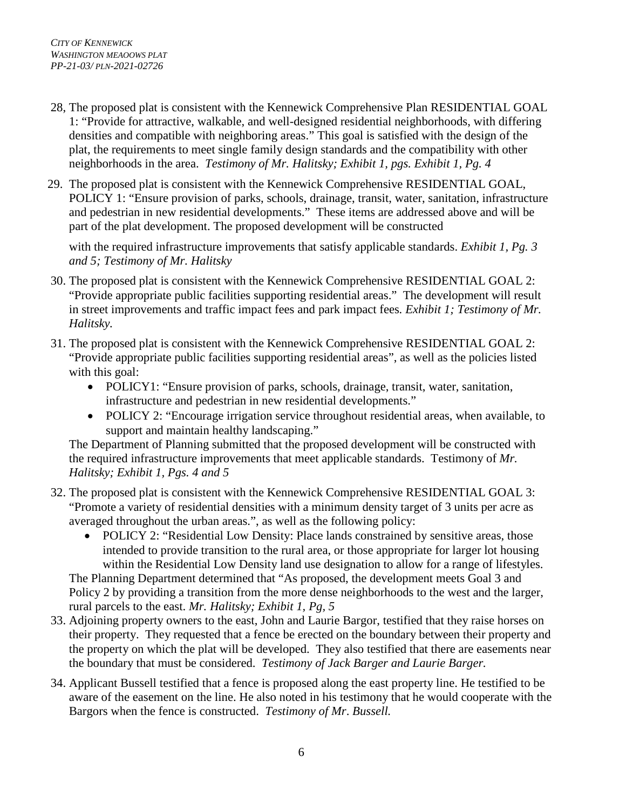- 28, The proposed plat is consistent with the Kennewick Comprehensive Plan RESIDENTIAL GOAL 1: "Provide for attractive, walkable, and well-designed residential neighborhoods, with differing densities and compatible with neighboring areas." This goal is satisfied with the design of the plat, the requirements to meet single family design standards and the compatibility with other neighborhoods in the area. *Testimony of Mr. Halitsky; Exhibit 1, pgs. Exhibit 1, Pg. 4*
- 29. The proposed plat is consistent with the Kennewick Comprehensive RESIDENTIAL GOAL, POLICY 1: "Ensure provision of parks, schools, drainage, transit, water, sanitation, infrastructure and pedestrian in new residential developments." These items are addressed above and will be part of the plat development. The proposed development will be constructed

with the required infrastructure improvements that satisfy applicable standards. *Exhibit 1, Pg. 3 and 5; Testimony of Mr. Halitsky*

- 30. The proposed plat is consistent with the Kennewick Comprehensive RESIDENTIAL GOAL 2: "Provide appropriate public facilities supporting residential areas." The development will result in street improvements and traffic impact fees and park impact fees*. Exhibit 1; Testimony of Mr. Halitsky.*
- 31. The proposed plat is consistent with the Kennewick Comprehensive RESIDENTIAL GOAL 2: "Provide appropriate public facilities supporting residential areas", as well as the policies listed with this goal:
	- POLICY1: "Ensure provision of parks, schools, drainage, transit, water, sanitation, infrastructure and pedestrian in new residential developments."
	- POLICY 2: "Encourage irrigation service throughout residential areas, when available, to support and maintain healthy landscaping."

The Department of Planning submitted that the proposed development will be constructed with the required infrastructure improvements that meet applicable standards. Testimony of *Mr. Halitsky; Exhibit 1, Pgs. 4 and 5*

- 32. The proposed plat is consistent with the Kennewick Comprehensive RESIDENTIAL GOAL 3: "Promote a variety of residential densities with a minimum density target of 3 units per acre as averaged throughout the urban areas.", as well as the following policy:
	- POLICY 2: "Residential Low Density: Place lands constrained by sensitive areas, those intended to provide transition to the rural area, or those appropriate for larger lot housing within the Residential Low Density land use designation to allow for a range of lifestyles. The Planning Department determined that "As proposed, the development meets Goal 3 and Policy 2 by providing a transition from the more dense neighborhoods to the west and the larger, rural parcels to the east. *Mr. Halitsky; Exhibit 1, Pg, 5*
- 33. Adjoining property owners to the east, John and Laurie Bargor, testified that they raise horses on their property. They requested that a fence be erected on the boundary between their property and the property on which the plat will be developed. They also testified that there are easements near the boundary that must be considered. *Testimony of Jack Barger and Laurie Barger.*
- 34. Applicant Bussell testified that a fence is proposed along the east property line. He testified to be aware of the easement on the line. He also noted in his testimony that he would cooperate with the Bargors when the fence is constructed. *Testimony of Mr*. *Bussell.*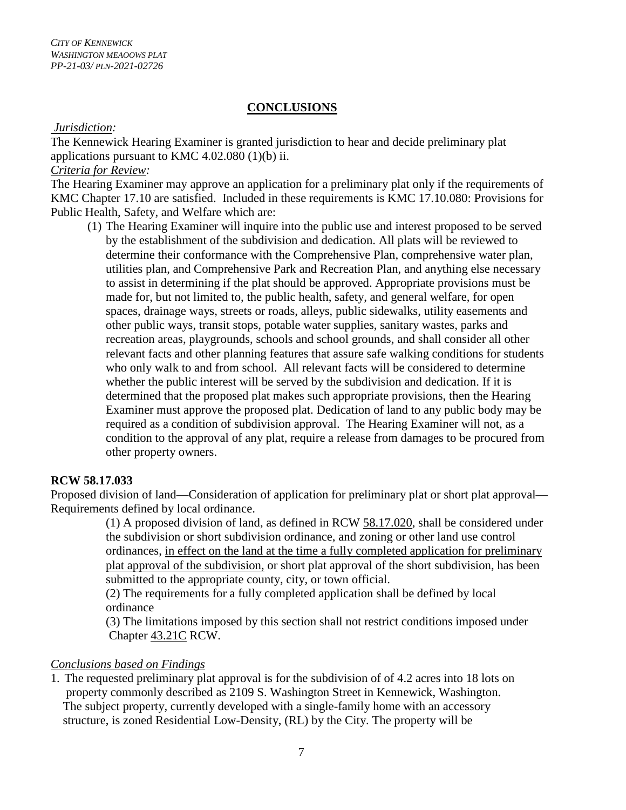#### **CONCLUSIONS**

#### *Jurisdiction:*

The Kennewick Hearing Examiner is granted jurisdiction to hear and decide preliminary plat applications pursuant to KMC 4.02.080 (1)(b) ii.

#### *Criteria for Review:*

The Hearing Examiner may approve an application for a preliminary plat only if the requirements of KMC Chapter 17.10 are satisfied. Included in these requirements is KMC 17.10.080: Provisions for Public Health, Safety, and Welfare which are:

(1) The Hearing Examiner will inquire into the public use and interest proposed to be served by the establishment of the subdivision and dedication. All plats will be reviewed to determine their conformance with the Comprehensive Plan, comprehensive water plan, utilities plan, and Comprehensive Park and Recreation Plan, and anything else necessary to assist in determining if the plat should be approved. Appropriate provisions must be made for, but not limited to, the public health, safety, and general welfare, for open spaces, drainage ways, streets or roads, alleys, public sidewalks, utility easements and other public ways, transit stops, potable water supplies, sanitary wastes, parks and recreation areas, playgrounds, schools and school grounds, and shall consider all other relevant facts and other planning features that assure safe walking conditions for students who only walk to and from school. All relevant facts will be considered to determine whether the public interest will be served by the subdivision and dedication. If it is determined that the proposed plat makes such appropriate provisions, then the Hearing Examiner must approve the proposed plat. Dedication of land to any public body may be required as a condition of subdivision approval. The Hearing Examiner will not, as a condition to the approval of any plat, require a release from damages to be procured from other property owners.

#### **RCW 58.17.033**

Proposed division of land—Consideration of application for preliminary plat or short plat approval— Requirements defined by local ordinance.

> (1) A proposed division of land, as defined in RCW [58.17.020,](http://app.leg.wa.gov/RCW/default.aspx?cite=58.17.020) shall be considered under the subdivision or short subdivision ordinance, and zoning or other land use control ordinances, in effect on the land at the time a fully completed application for preliminary plat approval of the subdivision, or short plat approval of the short subdivision, has been submitted to the appropriate county, city, or town official.

 (2) The requirements for a fully completed application shall be defined by local ordinance

(3) The limitations imposed by this section shall not restrict conditions imposed under Chapter [43.21C](http://app.leg.wa.gov/RCW/default.aspx?cite=43.21C) RCW.

#### *Conclusions based on Findings*

1. The requested preliminary plat approval is for the subdivision of of 4.2 acres into 18 lots on property commonly described as 2109 S. Washington Street in Kennewick, Washington. The subject property, currently developed with a single-family home with an accessory structure, is zoned Residential Low-Density, (RL) by the City. The property will be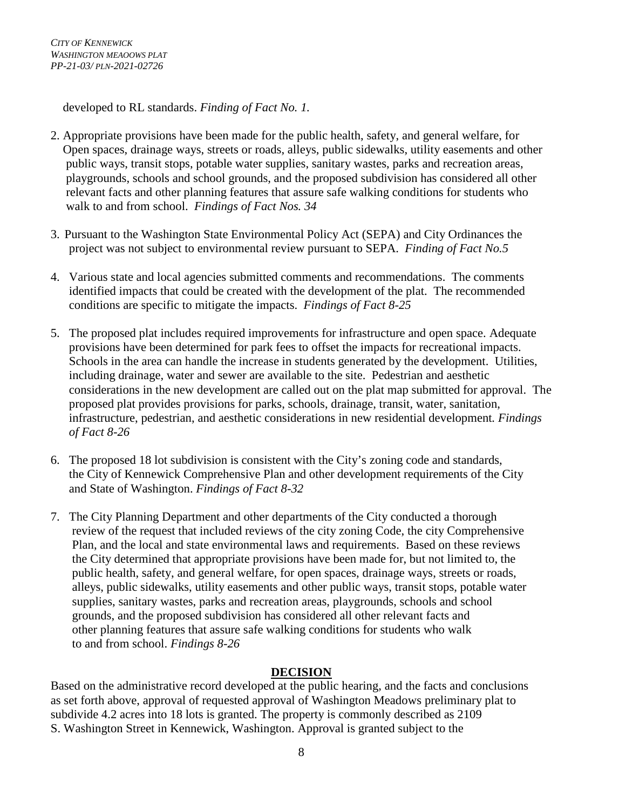developed to RL standards. *Finding of Fact No. 1.*

- 2. Appropriate provisions have been made for the public health, safety, and general welfare, for Open spaces, drainage ways, streets or roads, alleys, public sidewalks, utility easements and other public ways, transit stops, potable water supplies, sanitary wastes, parks and recreation areas, playgrounds, schools and school grounds, and the proposed subdivision has considered all other relevant facts and other planning features that assure safe walking conditions for students who walk to and from school. *Findings of Fact Nos. 34*
- 3. Pursuant to the Washington State Environmental Policy Act (SEPA) and City Ordinances the project was not subject to environmental review pursuant to SEPA. *Finding of Fact No.5*
- 4. Various state and local agencies submitted comments and recommendations. The comments identified impacts that could be created with the development of the plat. The recommended conditions are specific to mitigate the impacts. *Findings of Fact 8-25*
- 5. The proposed plat includes required improvements for infrastructure and open space. Adequate provisions have been determined for park fees to offset the impacts for recreational impacts. Schools in the area can handle the increase in students generated by the development. Utilities, including drainage, water and sewer are available to the site. Pedestrian and aesthetic considerations in the new development are called out on the plat map submitted for approval. The proposed plat provides provisions for parks, schools, drainage, transit, water, sanitation, infrastructure, pedestrian, and aesthetic considerations in new residential development*. Findings of Fact 8-26*
- 6. The proposed 18 lot subdivision is consistent with the City's zoning code and standards, the City of Kennewick Comprehensive Plan and other development requirements of the City and State of Washington. *Findings of Fact 8-32*
- 7. The City Planning Department and other departments of the City conducted a thorough review of the request that included reviews of the city zoning Code, the city Comprehensive Plan, and the local and state environmental laws and requirements. Based on these reviews the City determined that appropriate provisions have been made for, but not limited to, the public health, safety, and general welfare, for open spaces, drainage ways, streets or roads, alleys, public sidewalks, utility easements and other public ways, transit stops, potable water supplies, sanitary wastes, parks and recreation areas, playgrounds, schools and school grounds, and the proposed subdivision has considered all other relevant facts and other planning features that assure safe walking conditions for students who walk to and from school. *Findings 8-26*

## **DECISION**

Based on the administrative record developed at the public hearing, and the facts and conclusions as set forth above, approval of requested approval of Washington Meadows preliminary plat to subdivide 4.2 acres into 18 lots is granted. The property is commonly described as 2109 S. Washington Street in Kennewick, Washington. Approval is granted subject to the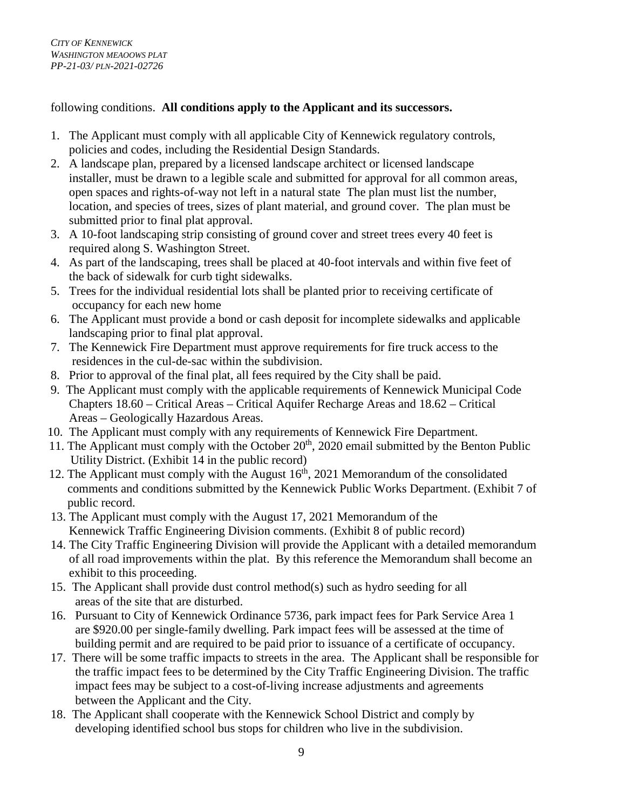following conditions. **All conditions apply to the Applicant and its successors.**

- 1. The Applicant must comply with all applicable City of Kennewick regulatory controls, policies and codes, including the Residential Design Standards.
- 2. A landscape plan, prepared by a licensed landscape architect or licensed landscape installer, must be drawn to a legible scale and submitted for approval for all common areas, open spaces and rights-of-way not left in a natural state The plan must list the number, location, and species of trees, sizes of plant material, and ground cover. The plan must be submitted prior to final plat approval.
- 3. A 10-foot landscaping strip consisting of ground cover and street trees every 40 feet is required along S. Washington Street.
- 4. As part of the landscaping, trees shall be placed at 40-foot intervals and within five feet of the back of sidewalk for curb tight sidewalks.
- 5. Trees for the individual residential lots shall be planted prior to receiving certificate of occupancy for each new home
- 6. The Applicant must provide a bond or cash deposit for incomplete sidewalks and applicable landscaping prior to final plat approval.
- 7. The Kennewick Fire Department must approve requirements for fire truck access to the residences in the cul-de-sac within the subdivision.
- 8. Prior to approval of the final plat, all fees required by the City shall be paid.
- 9. The Applicant must comply with the applicable requirements of Kennewick Municipal Code Chapters 18.60 – Critical Areas – Critical Aquifer Recharge Areas and 18.62 – Critical Areas – Geologically Hazardous Areas.
- 10. The Applicant must comply with any requirements of Kennewick Fire Department.
- 11. The Applicant must comply with the October  $20<sup>th</sup>$ , 2020 email submitted by the Benton Public Utility District. (Exhibit 14 in the public record)
- 12. The Applicant must comply with the August  $16<sup>th</sup>$ , 2021 Memorandum of the consolidated comments and conditions submitted by the Kennewick Public Works Department. (Exhibit 7 of public record.
- 13. The Applicant must comply with the August 17, 2021 Memorandum of the Kennewick Traffic Engineering Division comments. (Exhibit 8 of public record)
- 14. The City Traffic Engineering Division will provide the Applicant with a detailed memorandum of all road improvements within the plat. By this reference the Memorandum shall become an exhibit to this proceeding.
- 15. The Applicant shall provide dust control method(s) such as hydro seeding for all areas of the site that are disturbed.
- 16. Pursuant to City of Kennewick Ordinance 5736, park impact fees for Park Service Area 1 are \$920.00 per single-family dwelling. Park impact fees will be assessed at the time of building permit and are required to be paid prior to issuance of a certificate of occupancy.
- 17. There will be some traffic impacts to streets in the area. The Applicant shall be responsible for the traffic impact fees to be determined by the City Traffic Engineering Division. The traffic impact fees may be subject to a cost-of-living increase adjustments and agreements between the Applicant and the City.
- 18. The Applicant shall cooperate with the Kennewick School District and comply by developing identified school bus stops for children who live in the subdivision.